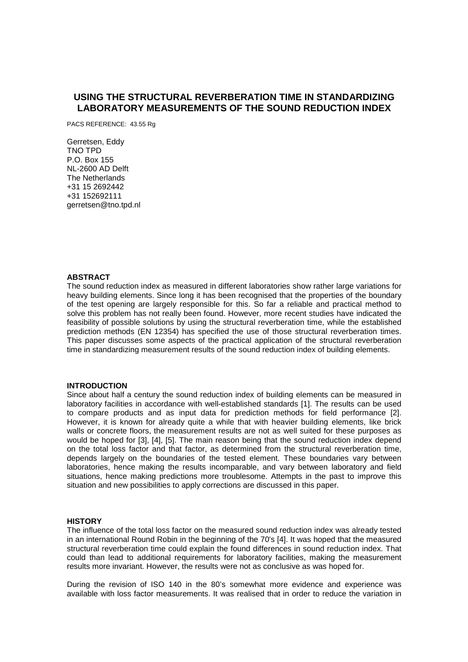# **USING THE STRUCTURAL REVERBERATION TIME IN STANDARDIZING LABORATORY MEASUREMENTS OF THE SOUND REDUCTION INDEX**

PACS REFERENCE: 43.55 Rg

Gerretsen, Eddy TNO TPD P.O. Box 155 NL-2600 AD Delft The Netherlands +31 15 2692442 +31 152692111 gerretsen@tno.tpd.nl

# **ABSTRACT**

The sound reduction index as measured in different laboratories show rather large variations for heavy building elements. Since long it has been recognised that the properties of the boundary of the test opening are largely responsible for this. So far a reliable and practical method to solve this problem has not really been found. However, more recent studies have indicated the feasibility of possible solutions by using the structural reverberation time, while the established prediction methods (EN 12354) has specified the use of those structural reverberation times. This paper discusses some aspects of the practical application of the structural reverberation time in standardizing measurement results of the sound reduction index of building elements.

## **INTRODUCTION**

Since about half a century the sound reduction index of building elements can be measured in laboratory facilities in accordance with well-established standards [1]. The results can be used to compare products and as input data for prediction methods for field performance [2]. However, it is known for already quite a while that with heavier building elements, like brick walls or concrete floors, the measurement results are not as well suited for these purposes as would be hoped for [3], [4], [5]. The main reason being that the sound reduction index depend on the total loss factor and that factor, as determined from the structural reverberation time, depends largely on the boundaries of the tested element. These boundaries vary between laboratories, hence making the results incomparable, and vary between laboratory and field situations, hence making predictions more troublesome. Attempts in the past to improve this situation and new possibilities to apply corrections are discussed in this paper.

# **HISTORY**

The influence of the total loss factor on the measured sound reduction index was already tested in an international Round Robin in the beginning of the 70's [4]. It was hoped that the measured structural reverberation time could explain the found differences in sound reduction index. That could than lead to additional requirements for laboratory facilities, making the measurement results more invariant. However, the results were not as conclusive as was hoped for.

During the revision of ISO 140 in the 80's somewhat more evidence and experience was available with loss factor measurements. It was realised that in order to reduce the variation in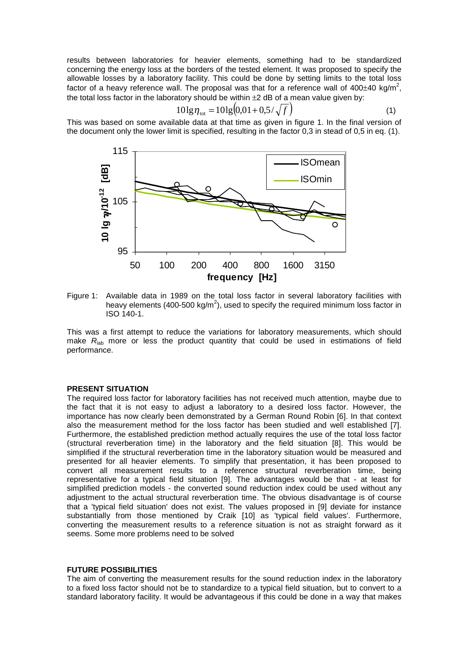results between laboratories for heavier elements, something had to be standardized concerning the energy loss at the borders of the tested element. It was proposed to specify the allowable losses by a laboratory facility. This could be done by setting limits to the total loss factor of a heavy reference wall. The proposal was that for a reference wall of 400±40 kg/m<sup>2</sup>, the total loss factor in the laboratory should be within  $\pm 2$  dB of a mean value given by:

$$
10\lg\eta_{\text{tot}} = 10\lg(0.01 + 0.5/\sqrt{f})\tag{1}
$$

This was based on some available data at that time as given in figure 1. In the final version of the document only the lower limit is specified, resulting in the factor 0,3 in stead of 0,5 in eq. (1).



Figure 1: Available data in 1989 on the total loss factor in several laboratory facilities with heavy elements (400-500 kg/m<sup>2</sup>), used to specify the required minimum loss factor in ISO 140-1.

This was a first attempt to reduce the variations for laboratory measurements, which should make  $R<sub>lab</sub>$  more or less the product quantity that could be used in estimations of field performance.

# **PRESENT SITUATION**

The required loss factor for laboratory facilities has not received much attention, maybe due to the fact that it is not easy to adjust a laboratory to a desired loss factor. However, the importance has now clearly been demonstrated by a German Round Robin [6]. In that context also the measurement method for the loss factor has been studied and well established [7]. Furthermore, the established prediction method actually requires the use of the total loss factor (structural reverberation time) in the laboratory and the field situation [8]. This would be simplified if the structural reverberation time in the laboratory situation would be measured and presented for all heavier elements. To simplify that presentation, it has been proposed to convert all measurement results to a reference structural reverberation time, being representative for a typical field situation [9]. The advantages would be that - at least for simplified prediction models - the converted sound reduction index could be used without any adjustment to the actual structural reverberation time. The obvious disadvantage is of course that a 'typical field situation' does not exist. The values proposed in [9] deviate for instance substantially from those mentioned by Craik [10] as 'typical field values'. Furthermore, converting the measurement results to a reference situation is not as straight forward as it seems. Some more problems need to be solved

# **FUTURE POSSIBILITIES**

The aim of converting the measurement results for the sound reduction index in the laboratory to a fixed loss factor should not be to standardize to a typical field situation, but to convert to a standard laboratory facility. It would be advantageous if this could be done in a way that makes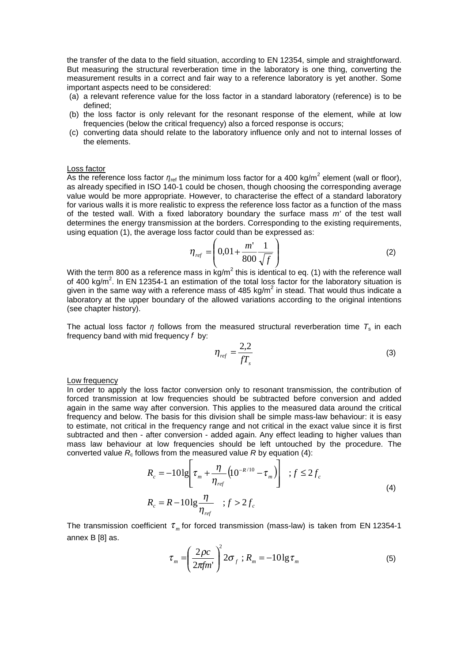the transfer of the data to the field situation, according to EN 12354, simple and straightforward. But measuring the structural reverberation time in the laboratory is one thing, converting the measurement results in a correct and fair way to a reference laboratory is yet another. Some important aspects need to be considered:

- (a) a relevant reference value for the loss factor in a standard laboratory (reference) is to be defined;
- (b) the loss factor is only relevant for the resonant response of the element, while at low frequencies (below the critical frequency) also a forced response is occurs;
- (c) converting data should relate to the laboratory influence only and not to internal losses of the elements.

#### Loss factor

As the reference loss factor  $\eta_{\rm ref}$  the minimum loss factor for a 400 kg/m<sup>2</sup> element (wall or floor), as already specified in ISO 140-1 could be chosen, though choosing the corresponding average value would be more appropriate. However, to characterise the effect of a standard laboratory for various walls it is more realistic to express the reference loss factor as a function of the mass of the tested wall. With a fixed laboratory boundary the surface mass *m'* of the test wall determines the energy transmission at the borders. Corresponding to the existing requirements, using equation (1), the average loss factor could than be expressed as:

$$
\eta_{ref} = \left(0.01 + \frac{m'}{800} \frac{1}{\sqrt{f}}\right)
$$
 (2)

With the term 800 as a reference mass in  $\rm kg/m^2$  this is identical to eq. (1) with the reference wall of 400 kg/m<sup>2</sup>. In EN 12354-1 an estimation of the total loss factor for the laboratory situation is given in the same way with a reference mass of 485 kg/m<sup>2</sup> in stead. That would thus indicate a laboratory at the upper boundary of the allowed variations according to the original intentions (see chapter history).

The actual loss factor  $\eta$  follows from the measured structural reverberation time  $T_s$  in each frequency band with mid frequency *f* by:

$$
\eta_{ref} = \frac{2.2}{fT_s} \tag{3}
$$

#### Low frequency

In order to apply the loss factor conversion only to resonant transmission, the contribution of forced transmission at low frequencies should be subtracted before conversion and added again in the same way after conversion. This applies to the measured data around the critical frequency and below. The basis for this division shall be simple mass-law behaviour: it is easy to estimate, not critical in the frequency range and not critical in the exact value since it is first subtracted and then - after conversion - added again. Any effect leading to higher values than mass law behaviour at low frequencies should be left untouched by the procedure. The converted value  $R_c$  follows from the measured value  $R$  by equation (4):

$$
R_c = -101g\left[\tau_m + \frac{\eta}{\eta_{ref}} \left(10^{-R/10} - \tau_m\right)\right] \quad ; f \le 2f_c
$$
\n
$$
R_c = R - 101g\frac{\eta}{\eta_{ref}} \quad ; f > 2f_c
$$
\n
$$
(4)
$$

The transmission coefficient  $\tau_m$  for forced transmission (mass-law) is taken from EN 12354-1 annex B [8] as.

$$
\tau_m = \left(\frac{2\rho c}{2\pi f m}\right)^2 2\sigma_f ; R_m = -101g\tau_m \tag{5}
$$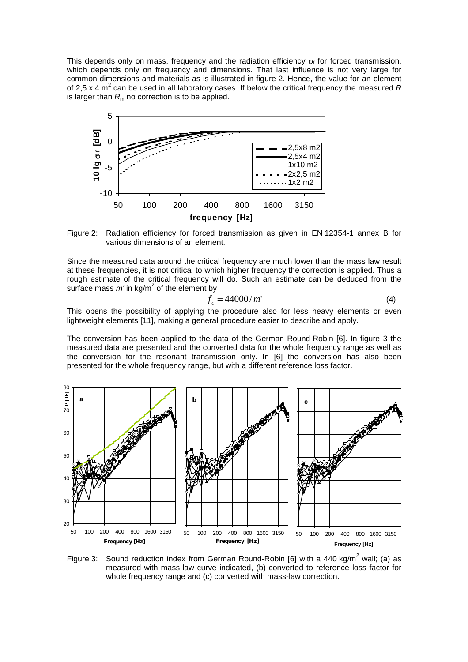This depends only on mass, frequency and the radiation efficiency  $\sigma_f$  for forced transmission, which depends only on frequency and dimensions. That last influence is not very large for common dimensions and materials as is illustrated in figure 2. Hence, the value for an element of 2,5 x 4 m<sup>2</sup> can be used in all laboratory cases. If below the critical frequency the measured R is larger than  $R<sub>m</sub>$  no correction is to be applied.



Figure 2: Radiation efficiency for forced transmission as given in EN 12354-1 annex B for various dimensions of an element.

Since the measured data around the critical frequency are much lower than the mass law result at these frequencies, it is not critical to which higher frequency the correction is applied. Thus a rough estimate of the critical frequency will do. Such an estimate can be deduced from the surface mass *m'* in kg/m<sup>2</sup> of the element by

$$
f_c = 44000/m'
$$
 (4)

This opens the possibility of applying the procedure also for less heavy elements or even lightweight elements [11], making a general procedure easier to describe and apply.

The conversion has been applied to the data of the German Round-Robin [6]. In figure 3 the measured data are presented and the converted data for the whole frequency range as well as the conversion for the resonant transmission only. In [6] the conversion has also been presented for the whole frequency range, but with a different reference loss factor.



Figure 3: Sound reduction index from German Round-Robin [6] with a 440 kg/m<sup>2</sup> wall; (a) as measured with mass-law curve indicated, (b) converted to reference loss factor for whole frequency range and (c) converted with mass-law correction.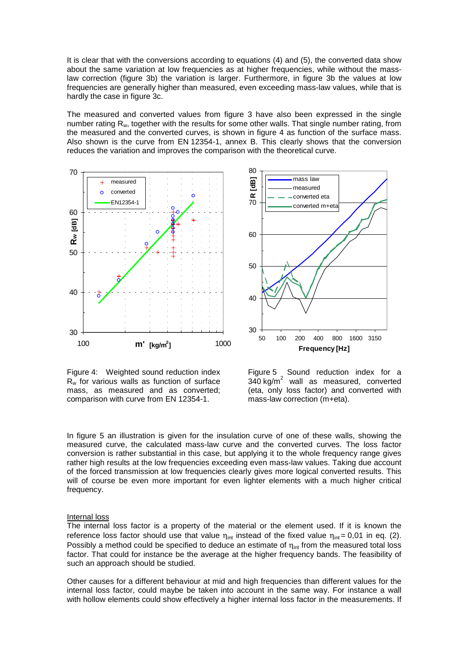It is clear that with the conversions according to equations (4) and (5), the converted data show about the same variation at low frequencies as at higher frequencies, while without the masslaw correction (figure 3b) the variation is larger. Furthermore, in figure 3b the values at low frequencies are generally higher than measured, even exceeding mass-law values, while that is hardly the case in figure 3c.

The measured and converted values from figure 3 have also been expressed in the single number rating R<sub>w</sub>, together with the results for some other walls. That single number rating, from the measured and the converted curves, is shown in figure 4 as function of the surface mass. Also shown is the curve from EN 12354-1, annex B. This clearly shows that the conversion reduces the variation and improves the comparison with the theoretical curve.



Figure 4: Weighted sound reduction index  $R_w$  for various walls as function of surface mass, as measured and as converted; comparison with curve from EN 12354-1.



Figure 5 Sound reduction index for a 340 kg/m<sup>2</sup> wall as measured, converted (eta, only loss factor) and converted with mass-law correction (m+eta).

In figure 5 an illustration is given for the insulation curve of one of these walls, showing the measured curve, the calculated mass-law curve and the converted curves. The loss factor conversion is rather substantial in this case, but applying it to the whole frequency range gives rather high results at the low frequencies exceeding even mass-law values. Taking due account of the forced transmission at low frequencies clearly gives more logical converted results. This will of course be even more important for even lighter elements with a much higher critical frequency.

# Internal loss

The internal loss factor is a property of the material or the element used. If it is known the reference loss factor should use that value  $\eta_{\text{int}}$  instead of the fixed value  $\eta_{\text{int}} = 0.01$  in eq. (2). Possibly a method could be specified to deduce an estimate of  $\eta_{\text{int}}$  from the measured total loss factor. That could for instance be the average at the higher frequency bands. The feasibility of such an approach should be studied.

Other causes for a different behaviour at mid and high frequencies than different values for the internal loss factor, could maybe be taken into account in the same way. For instance a wall with hollow elements could show effectively a higher internal loss factor in the measurements. If